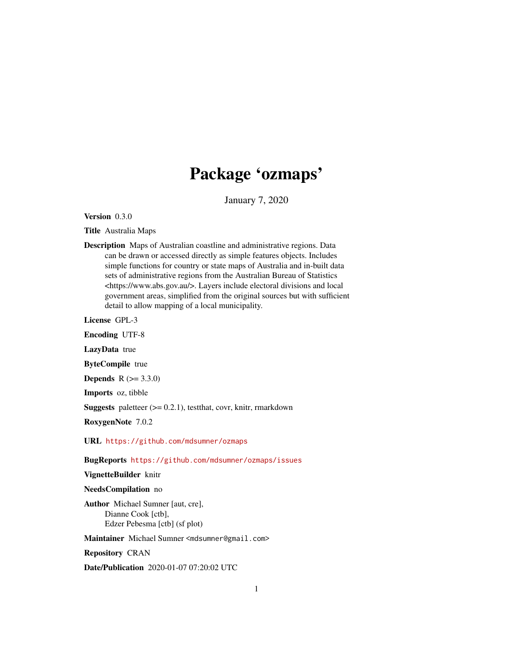# Package 'ozmaps'

January 7, 2020

<span id="page-0-0"></span>Version 0.3.0

Title Australia Maps

Description Maps of Australian coastline and administrative regions. Data can be drawn or accessed directly as simple features objects. Includes simple functions for country or state maps of Australia and in-built data sets of administrative regions from the Australian Bureau of Statistics <https://www.abs.gov.au/>. Layers include electoral divisions and local government areas, simplified from the original sources but with sufficient detail to allow mapping of a local municipality.

License GPL-3

Encoding UTF-8

LazyData true

ByteCompile true

**Depends**  $R (= 3.3.0)$ 

Imports oz, tibble

**Suggests** paletteer  $(>= 0.2.1)$ , test that, covr, knitr, rmarkdown

RoxygenNote 7.0.2

URL <https://github.com/mdsumner/ozmaps>

BugReports <https://github.com/mdsumner/ozmaps/issues>

VignetteBuilder knitr

NeedsCompilation no

Author Michael Sumner [aut, cre], Dianne Cook [ctb], Edzer Pebesma [ctb] (sf plot)

Maintainer Michael Sumner <mdsumner@gmail.com>

Repository CRAN

Date/Publication 2020-01-07 07:20:02 UTC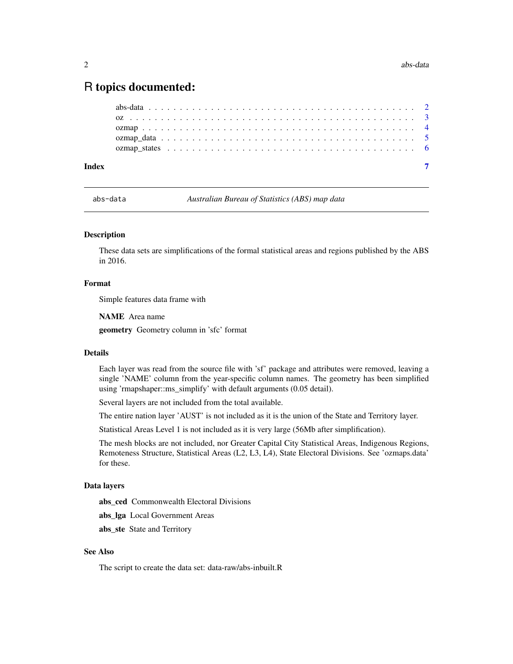# <span id="page-1-0"></span>R topics documented:

| Index |  |
|-------|--|
|       |  |
|       |  |
|       |  |
|       |  |
|       |  |

abs-data *Australian Bureau of Statistics (ABS) map data*

#### <span id="page-1-1"></span>**Description**

These data sets are simplifications of the formal statistical areas and regions published by the ABS in 2016.

#### Format

Simple features data frame with

NAME Area name

geometry Geometry column in 'sfc' format

#### Details

Each layer was read from the source file with 'sf' package and attributes were removed, leaving a single 'NAME' column from the year-specific column names. The geometry has been simplified using 'rmapshaper::ms\_simplify' with default arguments (0.05 detail).

Several layers are not included from the total available.

The entire nation layer 'AUST' is not included as it is the union of the State and Territory layer.

Statistical Areas Level 1 is not included as it is very large (56Mb after simplification).

The mesh blocks are not included, nor Greater Capital City Statistical Areas, Indigenous Regions, Remoteness Structure, Statistical Areas (L2, L3, L4), State Electoral Divisions. See 'ozmaps.data' for these.

#### Data layers

abs\_ced Commonwealth Electoral Divisions

abs\_lga Local Government Areas

abs\_ste State and Territory

#### See Also

The script to create the data set: data-raw/abs-inbuilt.R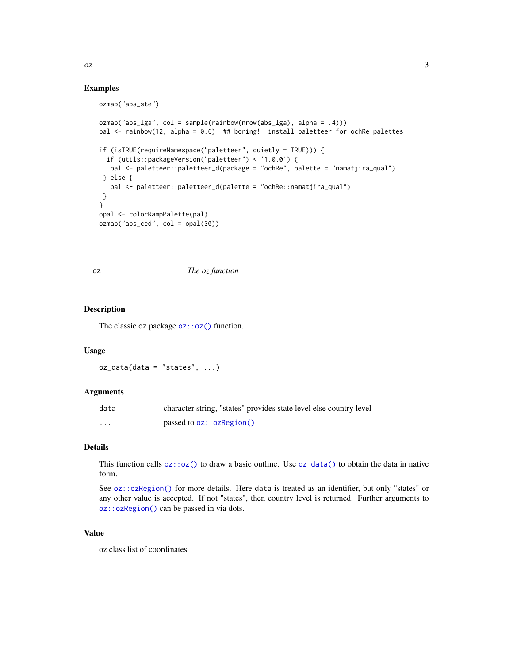#### <span id="page-2-0"></span> $\alpha$ z  $\alpha$

#### Examples

```
ozmap("abs_ste")
ozmap("abs_lga", col = sample(rainbow(nrow(abs_lga), alpha = .4)))
pal <- rainbow(12, alpha = 0.6) ## boring! install paletteer for ochRe palettes
if (isTRUE(requireNamespace("paletteer", quietly = TRUE))) {
  if (utils::packageVersion("paletteer") < '1.0.0') {
  pal <- paletteer::paletteer_d(package = "ochRe", palette = "namatjira_qual")
 } else {
  pal <- paletteer::paletteer_d(palette = "ochRe::namatjira_qual")
 }
}
opal <- colorRampPalette(pal)
ozmap("abs_ced", col = opal(30))
```
oz *The oz function*

#### <span id="page-2-1"></span>Description

The classic oz package  $oz::oz()$  function.

#### Usage

 $oz_data(data = "states", ...)$ 

#### Arguments

| data | character string, "states" provides state level else country level |
|------|--------------------------------------------------------------------|
| .    | passed to $oz::ozRegion()$                                         |

#### Details

This function calls  $oz:coz()$  to draw a basic outline. Use  $oz_data()$  to obtain the data in native form.

See [oz::ozRegion\(\)](#page-0-0) for more details. Here data is treated as an identifier, but only "states" or any other value is accepted. If not "states", then country level is returned. Further arguments to [oz::ozRegion\(\)](#page-0-0) can be passed in via dots.

#### Value

oz class list of coordinates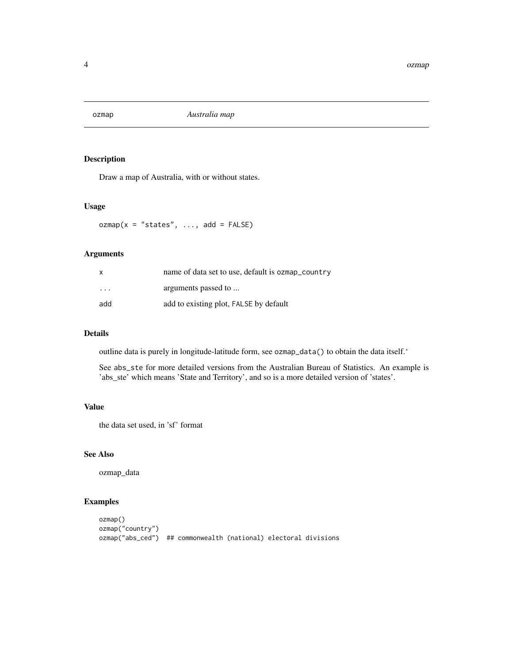<span id="page-3-0"></span>

#### Description

Draw a map of Australia, with or without states.

#### Usage

 $ozmap(x = "states", ..., add = FALSE)$ 

#### Arguments

| $\mathsf{x}$            | name of data set to use, default is ozmap_country |
|-------------------------|---------------------------------------------------|
| $\cdot$ $\cdot$ $\cdot$ | arguments passed to                               |
| add                     | add to existing plot, FALSE by default            |

#### Details

outline data is purely in longitude-latitude form, see ozmap\_data() to obtain the data itself.'

See abs\_ste for more detailed versions from the Australian Bureau of Statistics. An example is 'abs\_ste' which means 'State and Territory', and so is a more detailed version of 'states'.

### Value

the data set used, in 'sf' format

#### See Also

ozmap\_data

#### Examples

```
ozmap()
ozmap("country")
ozmap("abs_ced") ## commonwealth (national) electoral divisions
```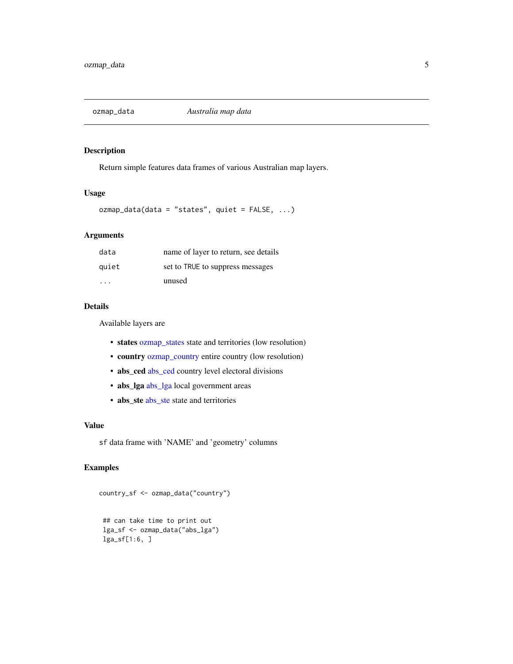<span id="page-4-0"></span>

#### Description

Return simple features data frames of various Australian map layers.

#### Usage

ozmap\_data(data = "states", quiet = FALSE, ...)

#### Arguments

| data  | name of layer to return, see details |
|-------|--------------------------------------|
| quiet | set to TRUE to suppress messages     |
| .     | unused                               |

#### Details

Available layers are

- states [ozmap\\_states](#page-5-1) state and territories (low resolution)
- country [ozmap\\_country](#page-5-2) entire country (low resolution)
- [abs\\_ced](#page-1-1) abs\_ced country level electoral divisions
- abs\_lga [abs\\_lga](#page-1-1) local government areas
- [abs\\_ste](#page-1-1) abs\_ste state and territories

#### Value

sf data frame with 'NAME' and 'geometry' columns

#### Examples

```
country_sf <- ozmap_data("country")
```

```
## can take time to print out
lga_sf <- ozmap_data("abs_lga")
lga_sf[1:6, ]
```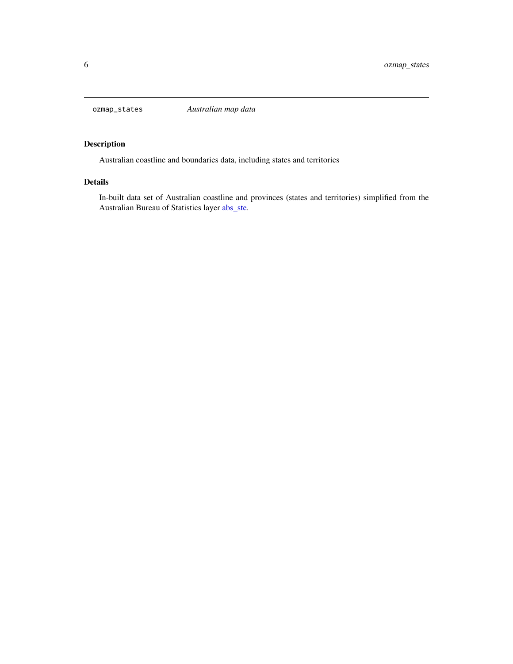<span id="page-5-1"></span><span id="page-5-0"></span>

### <span id="page-5-2"></span>Description

Australian coastline and boundaries data, including states and territories

#### Details

In-built data set of Australian coastline and provinces (states and territories) simplified from the Australian Bureau of Statistics layer [abs\\_ste.](#page-1-1)